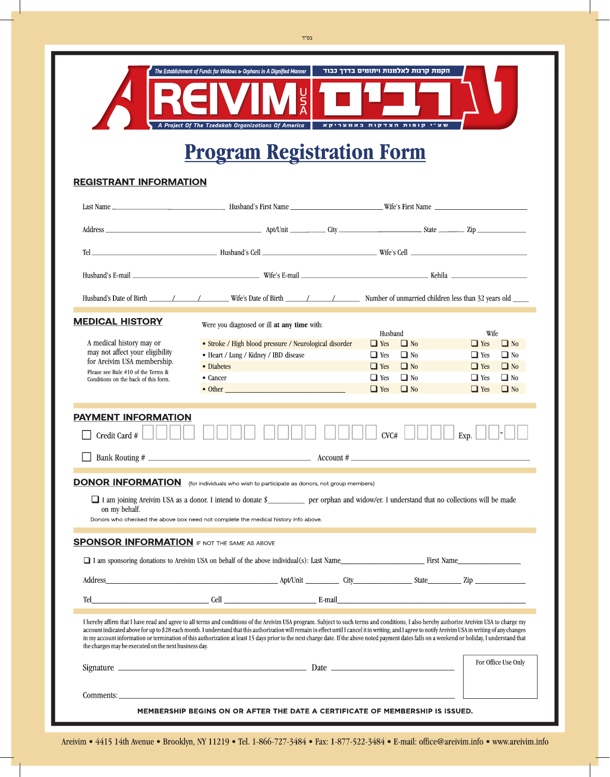

# **Program Registration Form**

### **REGISTRANT INFORMATION**

|                                                                                                                                                                                                                                                                                                                                                                                                                                                                                                                                                                                                                                                                   | Husband's E-mail <b>E-mail E-mail Wife's E-mail Wife's E-mail Wife's E-mail E-mail E-mail E-mail E-mail E-mail E-mail E-mail E-mail E-mail E-mail E-mail E-mail E-mail E-mail E-mail E-m</b>                           |                                                                                                                                     |                                                                                                                                     |
|-------------------------------------------------------------------------------------------------------------------------------------------------------------------------------------------------------------------------------------------------------------------------------------------------------------------------------------------------------------------------------------------------------------------------------------------------------------------------------------------------------------------------------------------------------------------------------------------------------------------------------------------------------------------|------------------------------------------------------------------------------------------------------------------------------------------------------------------------------------------------------------------------|-------------------------------------------------------------------------------------------------------------------------------------|-------------------------------------------------------------------------------------------------------------------------------------|
|                                                                                                                                                                                                                                                                                                                                                                                                                                                                                                                                                                                                                                                                   | Husband's Date of Birth 1992 / Wife's Date of Birth 1994 / Number of unmarried children less than 32 years old                                                                                                         |                                                                                                                                     |                                                                                                                                     |
| <b>MEDICAL HISTORY</b>                                                                                                                                                                                                                                                                                                                                                                                                                                                                                                                                                                                                                                            | Were you diagnosed or ill at any time with:                                                                                                                                                                            | Husband                                                                                                                             | Wife                                                                                                                                |
| A medical history may or<br>may not affect your eligibility<br>for Areivim USA membership.<br>Please see Rule #10 of the Terms &<br>Conditions on the back of this form.                                                                                                                                                                                                                                                                                                                                                                                                                                                                                          | • Stroke / High blood pressure / Neurological disorder<br>• Heart / Lung / Kidney / IBD disease<br>• Diabetes<br>• Cancer<br>the control of the control of the control of the control of the control of the control of | $\Box$ Yes<br>$\Box$ No<br>$\Box$ No<br>$\Box$ Yes<br>$\Box$ No<br>$\Box$ Yes<br>$\Box$ No<br>$\Box$ Yes<br>$\Box$ No<br>$\Box$ Yes | $\Box$ No<br>$\Box$ Yes<br>$\Box$ Yes<br>$\Box$ No<br>$\Box$ Yes<br>$\Box$ No<br>$\Box$ No<br>$\Box$ Yes<br>$\Box$ Yes<br>$\Box$ No |
| PAYMENT INFORMATION<br>CVC#<br>Credit Card #<br>Exp.                                                                                                                                                                                                                                                                                                                                                                                                                                                                                                                                                                                                              |                                                                                                                                                                                                                        |                                                                                                                                     |                                                                                                                                     |
|                                                                                                                                                                                                                                                                                                                                                                                                                                                                                                                                                                                                                                                                   |                                                                                                                                                                                                                        |                                                                                                                                     |                                                                                                                                     |
| <b>DONOR INFORMATION</b> (for individuals who wish to participate as donors, not group members)<br>I am joining Areivim USA as a donor. I intend to donate \$ per orphan and widow/er. I understand that no collections will be made<br>on my behalf.<br>Donors who checked the above box need not complete the medical history info above.                                                                                                                                                                                                                                                                                                                       |                                                                                                                                                                                                                        |                                                                                                                                     |                                                                                                                                     |
| <b>SPONSOR INFORMATION</b> IF NOT THE SAME AS ABOVE                                                                                                                                                                                                                                                                                                                                                                                                                                                                                                                                                                                                               |                                                                                                                                                                                                                        |                                                                                                                                     |                                                                                                                                     |
| I am sponsoring donations to Areivim USA on behalf of the above individual(s): Last Name                                                                                                                                                                                                                                                                                                                                                                                                                                                                                                                                                                          |                                                                                                                                                                                                                        |                                                                                                                                     |                                                                                                                                     |
|                                                                                                                                                                                                                                                                                                                                                                                                                                                                                                                                                                                                                                                                   |                                                                                                                                                                                                                        |                                                                                                                                     |                                                                                                                                     |
| Tel                                                                                                                                                                                                                                                                                                                                                                                                                                                                                                                                                                                                                                                               | <b>E-mail</b> Cell <b>E-mail E-mail E-mail E-mail E-mail E-mail E-mail E-mail E-mail E-mail E-mail E-mail E-mail E-mail E-mail E-mail E-mail E-mail E-mail E-mail E-mail E-mail E-mail </b>                            |                                                                                                                                     |                                                                                                                                     |
| I hereby affirm that I have read and agree to all terms and conditions of the Areivim USA program. Subject to such terms and conditions, I also hereby authorize Areivim USA to charge my<br>account indicated above for up to \$28 each month. I understand that this authorization will remain in effect until I cancel it in writing, and I agree to notify Areivim USA in writing of any changes<br>in my account information or termination of this authorization at least 15 days prior to the next charge date. If the above noted payment dates falls on a weekend or holiday, I understand that<br>the charges may be executed on the next business day. |                                                                                                                                                                                                                        |                                                                                                                                     |                                                                                                                                     |
|                                                                                                                                                                                                                                                                                                                                                                                                                                                                                                                                                                                                                                                                   |                                                                                                                                                                                                                        |                                                                                                                                     | For Office Use Only                                                                                                                 |
| Comments:<br>MEMBERSHIP BEGINS ON OR AFTER THE DATE A CERTIFICATE OF MEMBERSHIP IS ISSUED.                                                                                                                                                                                                                                                                                                                                                                                                                                                                                                                                                                        |                                                                                                                                                                                                                        |                                                                                                                                     |                                                                                                                                     |

Areivim • 4415 14th Avenue • Brooklyn, NY 11219 • Tel. 1-866-727-3484 • Fax: 1-877-522-3484 • E-mail: office@areivim.info • www.areivim.info

 $\mathsf{T}''$ בס